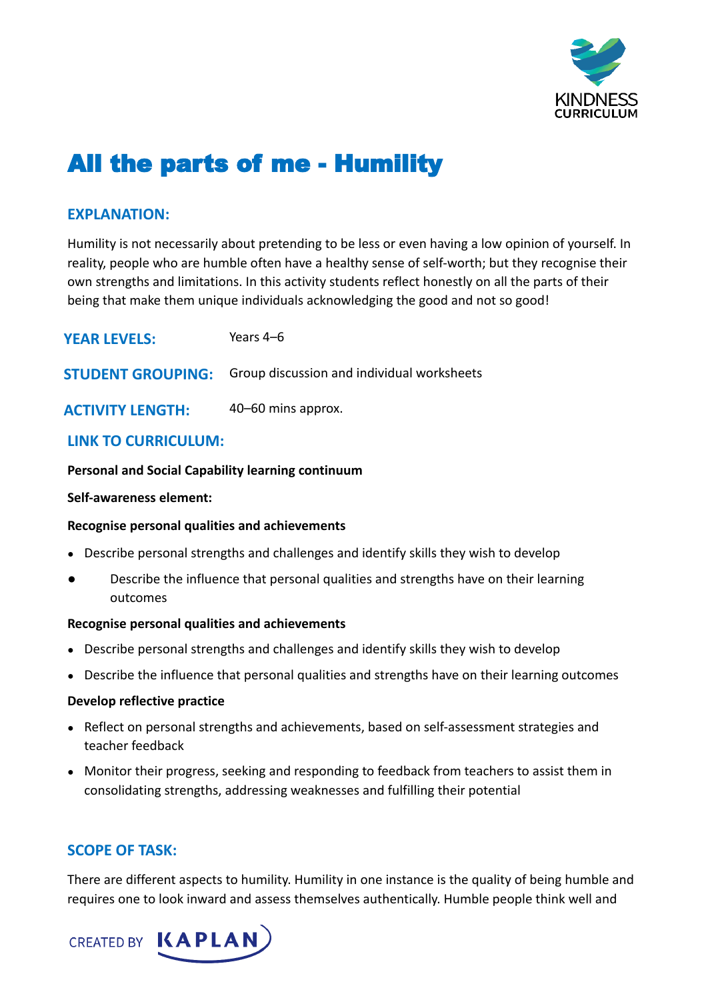

# All the parts of me - Humility

# **EXPLANATION:**

Humility is not necessarily about pretending to be less or even having a low opinion of yourself. In reality, people who are humble often have a healthy sense of self-worth; but they recognise their own strengths and limitations. In this activity students reflect honestly on all the parts of their being that make them unique individuals acknowledging the good and not so good!

| <b>YEAR LEVELS:</b>     | Years 4–6                                                           |
|-------------------------|---------------------------------------------------------------------|
|                         | <b>STUDENT GROUPING:</b> Group discussion and individual worksheets |
| <b>ACTIVITY LENGTH:</b> | 40-60 mins approx.                                                  |

# **LINK TO CURRICULUM:**

#### **Personal and Social Capability learning continuum**

#### **Self-awareness element:**

#### **Recognise personal qualities and achievements**

- Describe personal strengths and challenges and identify skills they wish to develop
- Describe the influence that personal qualities and strengths have on their learning outcomes

#### **Recognise personal qualities and achievements**

- Describe personal strengths and challenges and identify skills they wish to develop
- Describe the influence that personal qualities and strengths have on their learning outcomes

#### **Develop reflective practice**

- Reflect on personal strengths and achievements, based on self-assessment strategies and teacher feedback
- Monitor their progress, seeking and responding to feedback from teachers to assist them in consolidating strengths, addressing weaknesses and fulfilling their potential

# **SCOPE OF TASK:**

There are different aspects to humility. Humility in one instance is the quality of being humble and requires one to look inward and assess themselves authentically. Humble people think well and

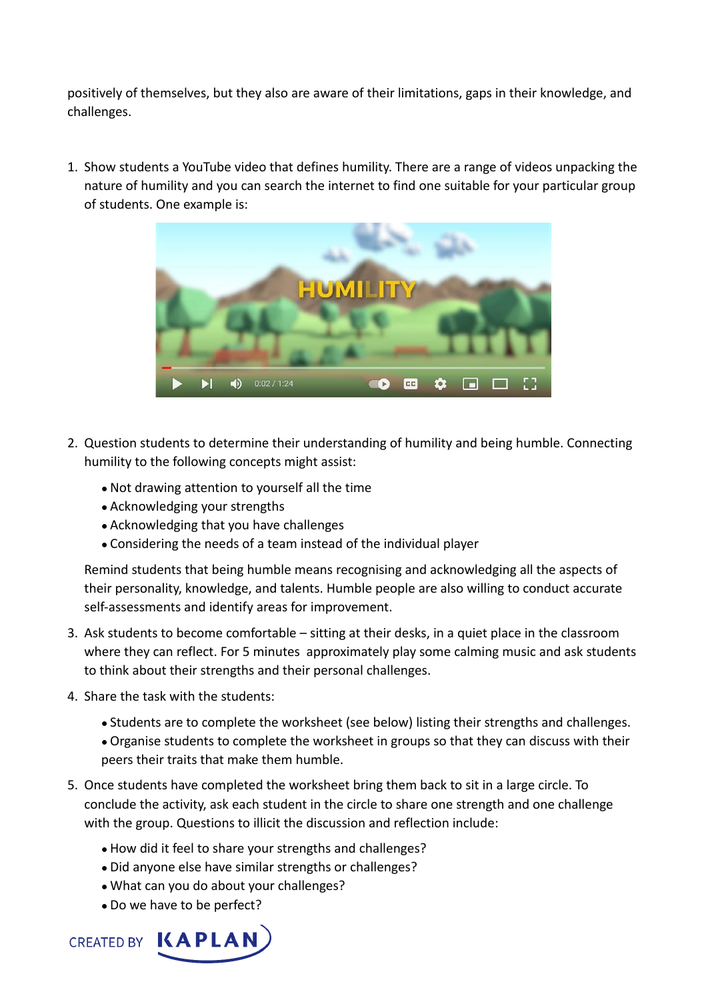positively of themselves, but they also are aware of their limitations, gaps in their knowledge, and challenges.

1. Show students a YouTube video that defines humility. There are a range of videos unpacking the nature of humility and you can search the internet to find one suitable for your particular group of students. One example is:



- 2. Question students to determine their understanding of humility and being humble. Connecting humility to the following concepts might assist:
	- Not drawing attention to yourself all the time
	- Acknowledging your strengths
	- Acknowledging that you have challenges
	- Considering the needs of a team instead of the individual player

Remind students that being humble means recognising and acknowledging all the aspects of their personality, knowledge, and talents. Humble people are also willing to conduct accurate self-assessments and identify areas for improvement.

- 3. Ask students to become comfortable sitting at their desks, in a quiet place in the classroom where they can reflect. For 5 minutes approximately play some calming music and ask students to think about their strengths and their personal challenges.
- 4. Share the task with the students:
	- Students are to complete the worksheet (see below) listing their strengths and challenges.
	- Organise students to complete the worksheet in groups so that they can discuss with their peers their traits that make them humble.
- 5. Once students have completed the worksheet bring them back to sit in a large circle. To conclude the activity, ask each student in the circle to share one strength and one challenge with the group. Questions to illicit the discussion and reflection include:
	- How did it feel to share your strengths and challenges?
	- Did anyone else have similar strengths or challenges?
	- What can you do about your challenges?
	- Do we have to be perfect?

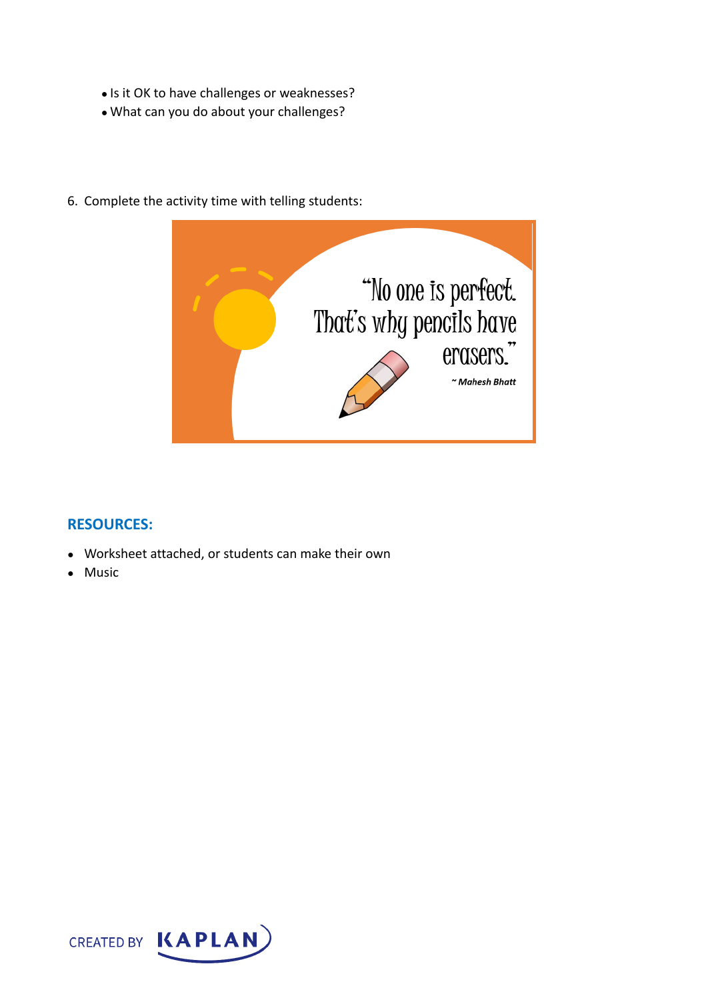- Is it OK to have challenges or weaknesses?
- What can you do about your challenges?



6. Complete the activity time with telling students:

# **RESOURCES:**

- Worksheet attached, or students can make their own
- Music